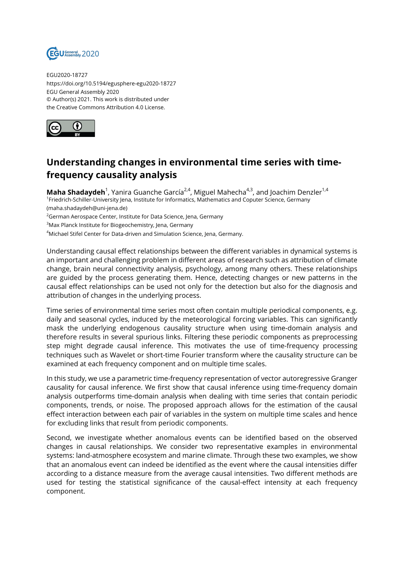

EGU2020-18727 https://doi.org/10.5194/egusphere-egu2020-18727 EGU General Assembly 2020 © Author(s) 2021. This work is distributed under the Creative Commons Attribution 4.0 License.



## **Understanding changes in environmental time series with timefrequency causality analysis**

**Maha Shadaydeh**<sup>1</sup>, Yanira Guanche García<sup>2,4</sup>, Miguel Mahecha<sup>4,3</sup>, and Joachim Denzler<sup>1,4</sup> 1 Friedrich-Schiller-University Jena, Institute for Informatics, Mathematics and Coputer Science, Germany (maha.shadaydeh@uni-jena.de)

 $2$ German Aerospace Center, Institute for Data Science, Jena, Germany

<sup>3</sup>Max Planck Institute for Biogeochemistry, Jena, Germany

<sup>4</sup>Michael Stifel Center for Data-driven and Simulation Science, Jena, Germany.

Understanding causal effect relationships between the different variables in dynamical systems is an important and challenging problem in different areas of research such as attribution of climate change, brain neural connectivity analysis, psychology, among many others. These relationships are guided by the process generating them. Hence, detecting changes or new patterns in the causal effect relationships can be used not only for the detection but also for the diagnosis and attribution of changes in the underlying process.

Time series of environmental time series most often contain multiple periodical components, e.g. daily and seasonal cycles, induced by the meteorological forcing variables. This can significantly mask the underlying endogenous causality structure when using time-domain analysis and therefore results in several spurious links. Filtering these periodic components as preprocessing step might degrade causal inference. This motivates the use of time-frequency processing techniques such as Wavelet or short-time Fourier transform where the causality structure can be examined at each frequency component and on multiple time scales.

In this study, we use a parametric time-frequency representation of vector autoregressive Granger causality for causal inference. We first show that causal inference using time-frequency domain analysis outperforms time-domain analysis when dealing with time series that contain periodic components, trends, or noise. The proposed approach allows for the estimation of the causal effect interaction between each pair of variables in the system on multiple time scales and hence for excluding links that result from periodic components.

Second, we investigate whether anomalous events can be identified based on the observed changes in causal relationships. We consider two representative examples in environmental systems: land-atmosphere ecosystem and marine climate. Through these two examples, we show that an anomalous event can indeed be identified as the event where the causal intensities differ according to a distance measure from the average causal intensities. Two different methods are used for testing the statistical significance of the causal-effect intensity at each frequency component.